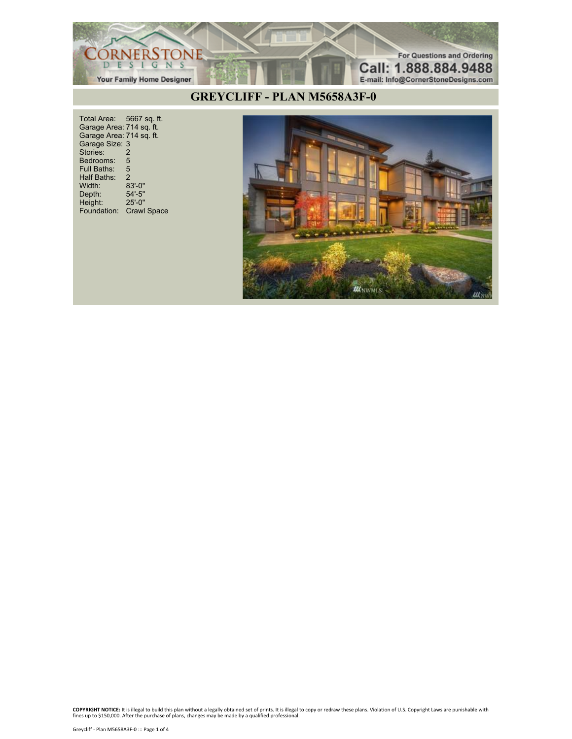

### **GREYCLIFF - PLAN M5658A3F-0**

Total Area: 5667 sq. ft. Garage Area: 714 sq. ft. Garage Area: 714 sq. ft. Garage Size: 3 Stories: 2 Bedrooms: 5<br>Full Baths: 5 Full Baths: 5 Half Baths: 2 Width: 83'-0"<br>Depth: 54'-5" Depth: 54'-5" Height: 25'-0" Foundation: Crawl Space

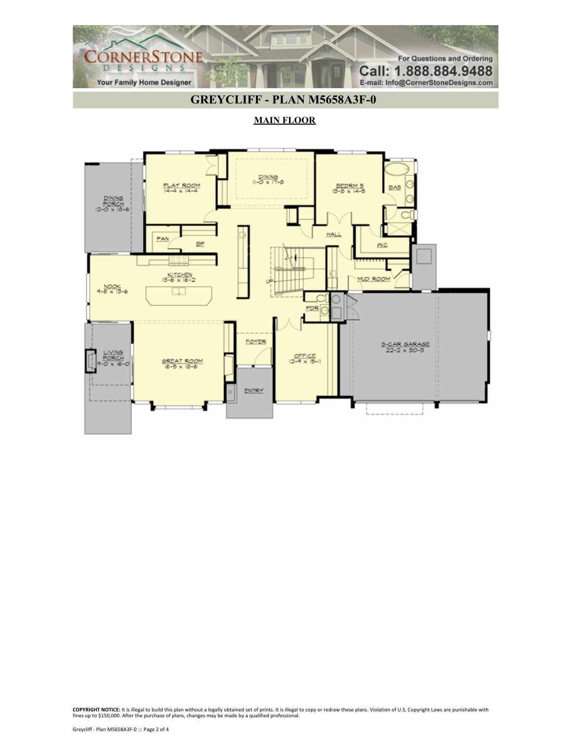

# **GREYCLIFF - PLAN M5658A3F-0**

#### **MAIN FLOOR**

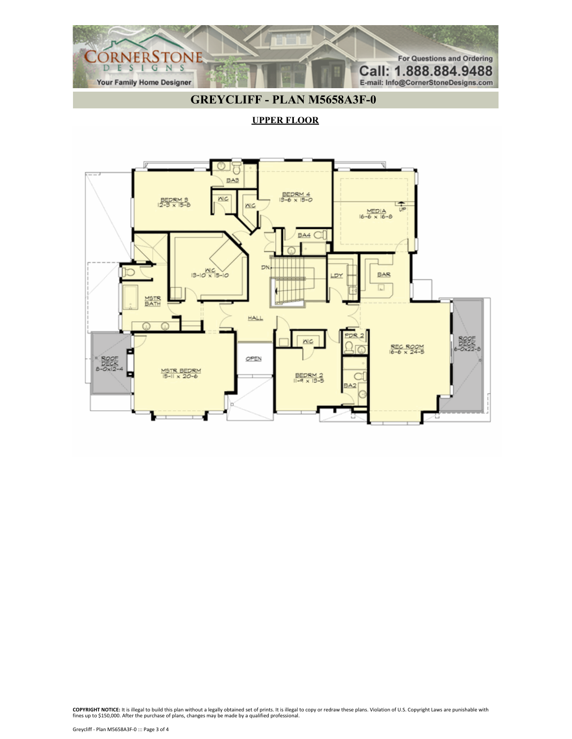

## **GREYCLIFF - PLAN M5658A3F-0**

#### **UPPER FLOOR**